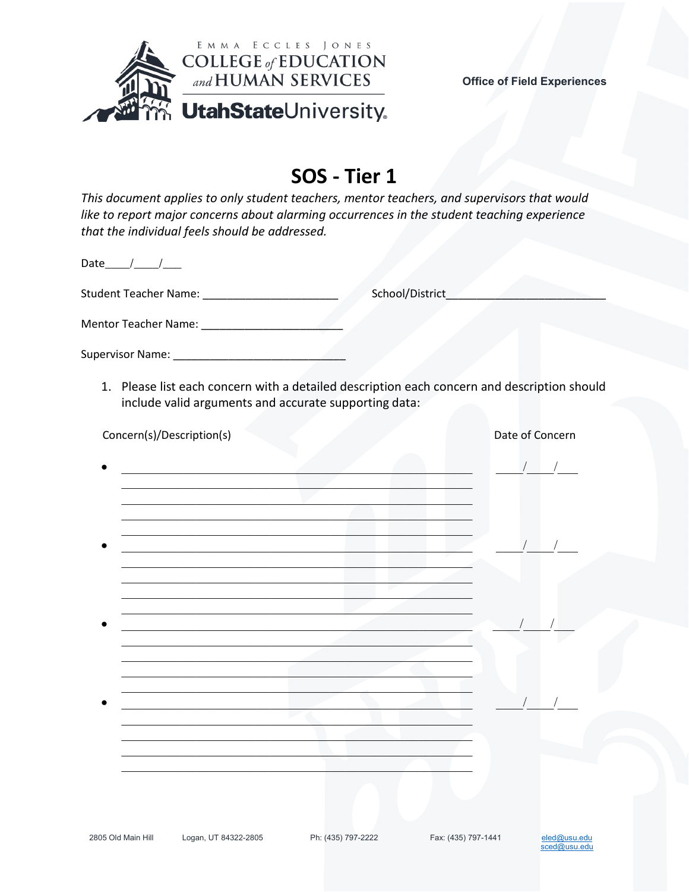

sced@usu.edu

## SOS - Tier 1

This document applies to only student teachers, mentor teachers, and supervisors that would like to report major concerns about alarming occurrences in the student teaching experience that the individual feels should be addressed.

Date  $/$  /

**Student Teacher Name:** Student Teacher Name:

School/District

Supervisor Name: Name:

1. Please list each concern with a detailed description each concern and description should include valid arguments and accurate supporting data:

| Concern(s)/Description(s) |                      |                    |                     | Date of Concern |
|---------------------------|----------------------|--------------------|---------------------|-----------------|
|                           |                      |                    |                     | $\sqrt{2}$      |
|                           |                      |                    |                     |                 |
|                           |                      |                    |                     |                 |
|                           |                      |                    |                     |                 |
|                           |                      |                    |                     |                 |
| 2805 Old Main Hill        | Logan, UT 84322-2805 | Ph: (435) 797-2222 | Fax: (435) 797-1441 | eled@usu.edu    |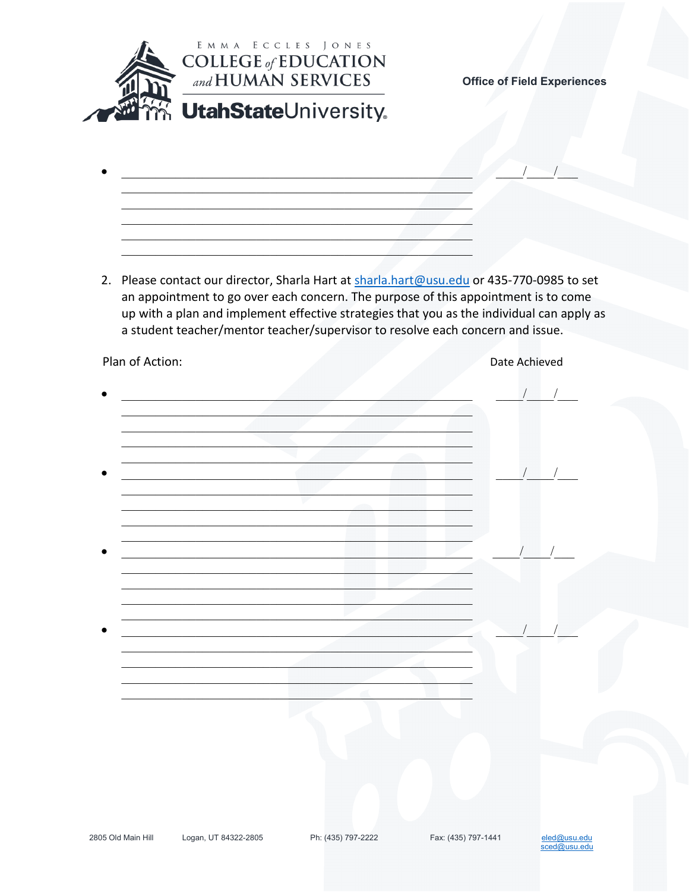

- 
- 2. Please contact our director, Sharla Hart at sharla.hart@usu.edu or 435-770-0985 to set an appointment to go over each concern. The purpose of this appointment is to come up with a plan and implement effective strategies that you as the individual can apply as a student teacher/mentor teacher/supervisor to resolve each concern and issue.

| Plan of Action:                                                                                                               | Date Achieved |
|-------------------------------------------------------------------------------------------------------------------------------|---------------|
|                                                                                                                               |               |
|                                                                                                                               |               |
|                                                                                                                               |               |
|                                                                                                                               |               |
|                                                                                                                               |               |
|                                                                                                                               |               |
|                                                                                                                               |               |
|                                                                                                                               |               |
|                                                                                                                               |               |
|                                                                                                                               |               |
|                                                                                                                               |               |
|                                                                                                                               |               |
|                                                                                                                               |               |
| <u> 1990 - Johann John Stone, mars et al. 1990 - John Stone, mars et al. 1990 - John Stone, mars et al. 1990 - John Stone</u> |               |
|                                                                                                                               |               |
|                                                                                                                               |               |
|                                                                                                                               |               |
|                                                                                                                               |               |
|                                                                                                                               |               |
|                                                                                                                               |               |

Logan, UT 84322-2805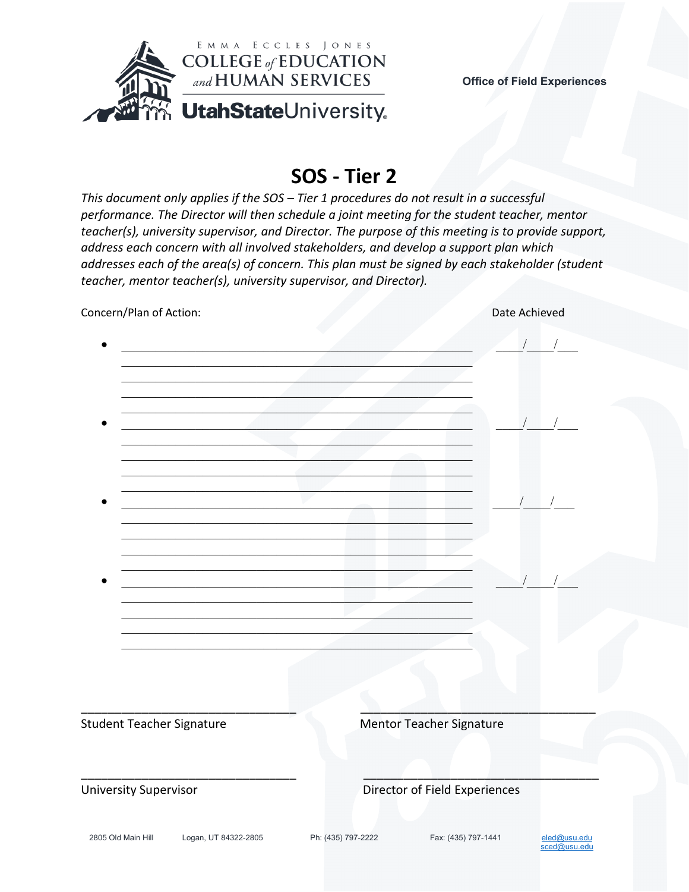

### **SOS - Tier 2**

*This document only applies if the SOS – Tier 1 procedures do not result in a successful performance. The Director will then schedule a joint meeting for the student teacher, mentor teacher(s), university supervisor, and Director. The purpose of this meeting is to provide support, address each concern with all involved stakeholders, and develop a support plan which addresses each of the area(s) of concern. This plan must be signed by each stakeholder (student teacher, mentor teacher(s), university supervisor, and Director).*

| Concern/Plan of Action:                    |                                                                     |                               | Date Achieved                |  |
|--------------------------------------------|---------------------------------------------------------------------|-------------------------------|------------------------------|--|
|                                            |                                                                     |                               | $\sqrt{2}$                   |  |
|                                            |                                                                     |                               |                              |  |
|                                            |                                                                     |                               |                              |  |
|                                            |                                                                     | $\sqrt{2}$                    |                              |  |
|                                            | <u> 1989 - Johann John Stone, market fan de Amerikaanske kommer</u> |                               |                              |  |
|                                            |                                                                     |                               |                              |  |
|                                            |                                                                     |                               |                              |  |
| <b>Student Teacher Signature</b>           |                                                                     | Mentor Teacher Signature      |                              |  |
| University Supervisor                      |                                                                     | Director of Field Experiences |                              |  |
| Logan, UT 84322-2805<br>2805 Old Main Hill | Ph: (435) 797-2222                                                  | Fax: (435) 797-1441           | eled@usu.edu<br>sced@usu.edu |  |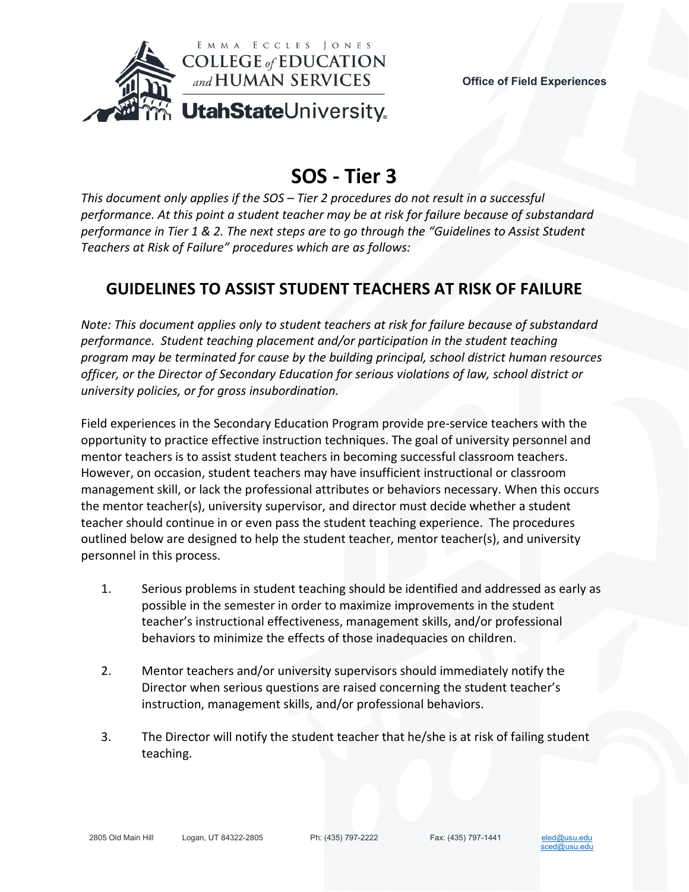

# **SOS - Tier 3**

*This document only applies if the SOS – Tier 2 procedures do not result in a successful performance. At this point a student teacher may be at risk for failure because of substandard performance in Tier 1 & 2. The next steps are to go through the "Guidelines to Assist Student Teachers at Risk of Failure" procedures which are as follows:*

#### **GUIDELINES TO ASSIST STUDENT TEACHERS AT RISK OF FAILURE**

*Note: This document applies only to student teachers at risk for failure because of substandard performance. Student teaching placement and/or participation in the student teaching program may be terminated for cause by the building principal, school district human resources officer, or the Director of Secondary Education for serious violations of law, school district or university policies, or for gross insubordination.*

Field experiences in the Secondary Education Program provide pre-service teachers with the opportunity to practice effective instruction techniques. The goal of university personnel and mentor teachers is to assist student teachers in becoming successful classroom teachers. However, on occasion, student teachers may have insufficient instructional or classroom management skill, or lack the professional attributes or behaviors necessary. When this occurs the mentor teacher(s), university supervisor, and director must decide whether a student teacher should continue in or even pass the student teaching experience. The procedures outlined below are designed to help the student teacher, mentor teacher(s), and university personnel in this process.

- 1. Serious problems in student teaching should be identified and addressed as early as possible in the semester in order to maximize improvements in the student teacher's instructional effectiveness, management skills, and/or professional behaviors to minimize the effects of those inadequacies on children.
- 2. Mentor teachers and/or university supervisors should immediately notify the Director when serious questions are raised concerning the student teacher's instruction, management skills, and/or professional behaviors.
- 3. The Director will notify the student teacher that he/she is at risk of failing student teaching.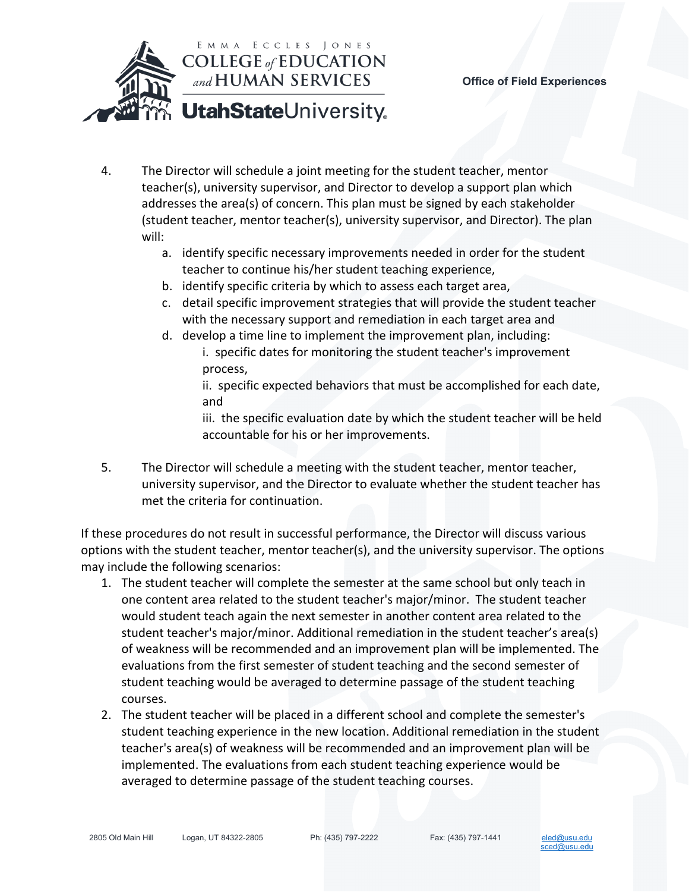

- 4. The Director will schedule a joint meeting for the student teacher, mentor teacher(s), university supervisor, and Director to develop a support plan which addresses the area(s) of concern. This plan must be signed by each stakeholder (student teacher, mentor teacher(s), university supervisor, and Director). The plan will:
	- a. identify specific necessary improvements needed in order for the student teacher to continue his/her student teaching experience,
	- b. identify specific criteria by which to assess each target area,
	- c. detail specific improvement strategies that will provide the student teacher with the necessary support and remediation in each target area and
	- d. develop a time line to implement the improvement plan, including: i. specific dates for monitoring the student teacher's improvement process,

ii. specific expected behaviors that must be accomplished for each date, and

iii. the specific evaluation date by which the student teacher will be held accountable for his or her improvements.

5. The Director will schedule a meeting with the student teacher, mentor teacher, university supervisor, and the Director to evaluate whether the student teacher has met the criteria for continuation.

If these procedures do not result in successful performance, the Director will discuss various options with the student teacher, mentor teacher(s), and the university supervisor. The options may include the following scenarios:

- 1. The student teacher will complete the semester at the same school but only teach in one content area related to the student teacher's major/minor. The student teacher would student teach again the next semester in another content area related to the student teacher's major/minor. Additional remediation in the student teacher's area(s) of weakness will be recommended and an improvement plan will be implemented. The evaluations from the first semester of student teaching and the second semester of student teaching would be averaged to determine passage of the student teaching courses.
- 2. The student teacher will be placed in a different school and complete the semester's student teaching experience in the new location. Additional remediation in the student teacher's area(s) of weakness will be recommended and an improvement plan will be implemented. The evaluations from each student teaching experience would be averaged to determine passage of the student teaching courses.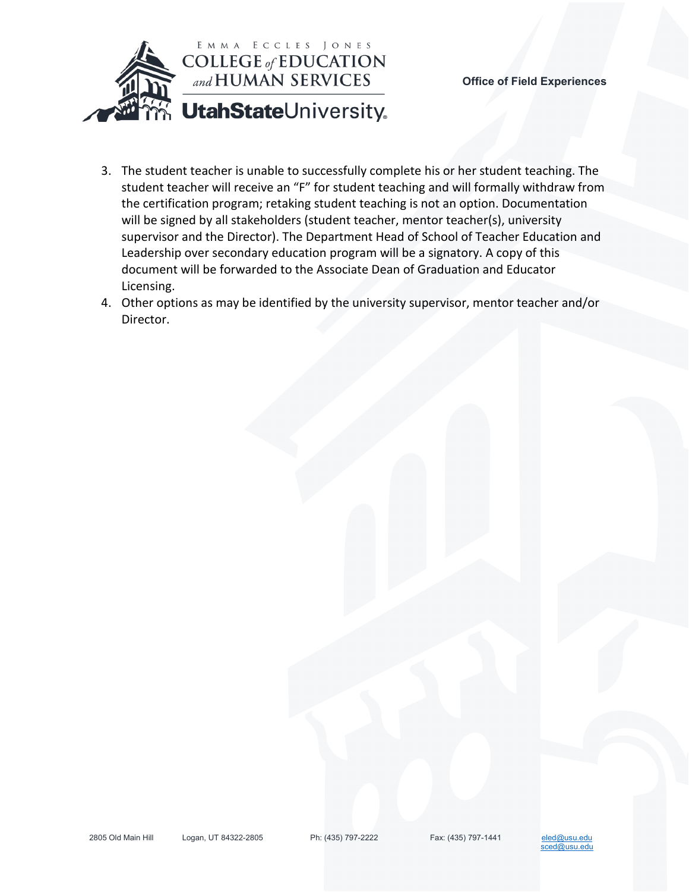

- 3. The student teacher is unable to successfully complete his or her student teaching. The student teacher will receive an "F" for student teaching and will formally withdraw from the certification program; retaking student teaching is not an option. Documentation will be signed by all stakeholders (student teacher, mentor teacher(s), university supervisor and the Director). The Department Head of School of Teacher Education and Leadership over secondary education program will be a signatory. A copy of this document will be forwarded to the Associate Dean of Graduation and Educator Licensing.
- 4. Other options as may be identified by the university supervisor, mentor teacher and/or Director.